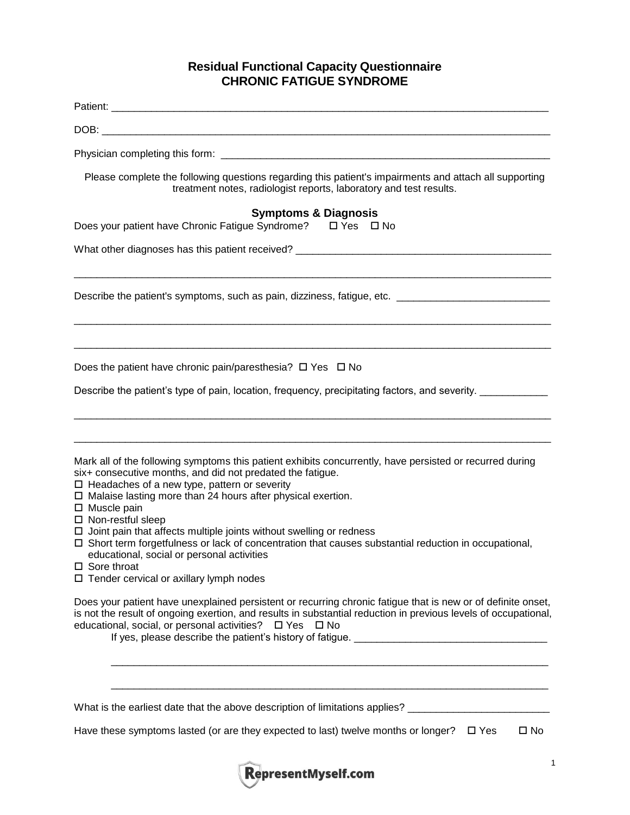## **Residual Functional Capacity Questionnaire CHRONIC FATIGUE SYNDROME**

| Please complete the following questions regarding this patient's impairments and attach all supporting<br>treatment notes, radiologist reports, laboratory and test results.                                                                                                                                                                                  |
|---------------------------------------------------------------------------------------------------------------------------------------------------------------------------------------------------------------------------------------------------------------------------------------------------------------------------------------------------------------|
| <b>Symptoms &amp; Diagnosis</b><br>Does your patient have Chronic Fatigue Syndrome? □ Yes □ No                                                                                                                                                                                                                                                                |
| What other diagnoses has this patient received? _________________________________                                                                                                                                                                                                                                                                             |
| Describe the patient's symptoms, such as pain, dizziness, fatigue, etc. ___________________________                                                                                                                                                                                                                                                           |
| Does the patient have chronic pain/paresthesia? $\Box$ Yes $\Box$ No<br>Describe the patient's type of pain, location, frequency, precipitating factors, and severity.                                                                                                                                                                                        |
| Mark all of the following symptoms this patient exhibits concurrently, have persisted or recurred during<br>six+ consecutive months, and did not predated the fatigue.<br>□ Headaches of a new type, pattern or severity<br>$\square$ Malaise lasting more than 24 hours after physical exertion.                                                             |
| □ Muscle pain<br>□ Non-restful sleep<br>$\square$ Joint pain that affects multiple joints without swelling or redness<br>$\Box$ Short term forgetfulness or lack of concentration that causes substantial reduction in occupational,<br>educational, social or personal activities<br>$\square$ Sore throat<br>$\Box$ Tender cervical or axillary lymph nodes |
| Does your patient have unexplained persistent or recurring chronic fatigue that is new or of definite onset,<br>is not the result of ongoing exertion, and results in substantial reduction in previous levels of occupational,<br>educational, social, or personal activities? □ Yes □ No                                                                    |
| What is the earliest date that the above description of limitations applies? _______________________<br>Have these symptoms lasted (or are they expected to last) twelve months or longer?<br>$\square$ Yes<br>$\square$ No                                                                                                                                   |

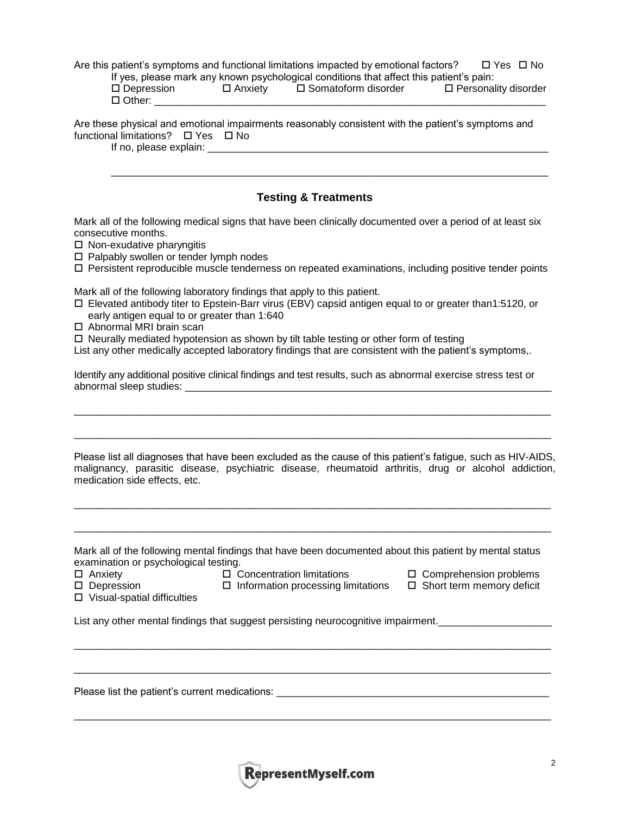Are this patient's symptoms and functional limitations impacted by emotional factors?  $\Box$  Yes  $\Box$  No  $\frac{1}{2}$  yes, please mark any known psychological conditions that affect this patient's particular paint  $\frac{1}{2}$ 

|                      |                | th yes, please mark any known psychological conditions that affect this patient's pain. |                        |
|----------------------|----------------|-----------------------------------------------------------------------------------------|------------------------|
| $\square$ Depression | $\Box$ Anxiety | □ Somatoform disorder                                                                   | □ Personality disorder |
| $\Box$ Other:        |                |                                                                                         |                        |

Are these physical and emotional impairments reasonably consistent with the patient's symptoms and functional limitations?  $\Box$  Yes  $\Box$  No

If no, please explain: \_\_\_\_\_\_\_\_\_\_\_\_\_\_\_\_\_\_\_\_\_\_\_\_\_\_\_\_\_\_\_\_\_\_\_\_\_\_\_\_\_\_\_\_\_\_\_\_\_\_\_\_\_\_\_\_\_\_\_\_

## **Testing & Treatments**

\_\_\_\_\_\_\_\_\_\_\_\_\_\_\_\_\_\_\_\_\_\_\_\_\_\_\_\_\_\_\_\_\_\_\_\_\_\_\_\_\_\_\_\_\_\_\_\_\_\_\_\_\_\_\_\_\_\_\_\_\_\_\_\_\_\_\_\_\_\_\_\_\_\_\_\_\_

Mark all of the following medical signs that have been clinically documented over a period of at least six consecutive months.

- $\square$  Non-exudative pharyngitis
- $\square$  Palpably swollen or tender lymph nodes
- $\Box$  Persistent reproducible muscle tenderness on repeated examinations, including positive tender points

Mark all of the following laboratory findings that apply to this patient.

- Elevated antibody titer to Epstein-Barr virus (EBV) capsid antigen equal to or greater than1:5120, or early antigen equal to or greater than 1:640
- □ Abnormal MRI brain scan
- $\Box$  Neurally mediated hypotension as shown by tilt table testing or other form of testing

List any other medically accepted laboratory findings that are consistent with the patient's symptoms,.

Identify any additional positive clinical findings and test results, such as abnormal exercise stress test or abnormal sleep studies:

 $\_$  ,  $\_$  ,  $\_$  ,  $\_$  ,  $\_$  ,  $\_$  ,  $\_$  ,  $\_$  ,  $\_$  ,  $\_$  ,  $\_$  ,  $\_$  ,  $\_$  ,  $\_$  ,  $\_$  ,  $\_$  ,  $\_$  ,  $\_$  ,  $\_$  ,  $\_$  ,  $\_$  ,  $\_$  ,  $\_$  ,  $\_$  ,  $\_$  ,  $\_$  ,  $\_$  ,  $\_$  ,  $\_$  ,  $\_$  ,  $\_$  ,  $\_$  ,  $\_$  ,  $\_$  ,  $\_$  ,  $\_$  ,  $\_$  ,

 $\_$  , and the set of the set of the set of the set of the set of the set of the set of the set of the set of the set of the set of the set of the set of the set of the set of the set of the set of the set of the set of th

Please list all diagnoses that have been excluded as the cause of this patient's fatigue, such as HIV-AIDS, malignancy, parasitic disease, psychiatric disease, rheumatoid arthritis, drug or alcohol addiction, medication side effects, etc.

\_\_\_\_\_\_\_\_\_\_\_\_\_\_\_\_\_\_\_\_\_\_\_\_\_\_\_\_\_\_\_\_\_\_\_\_\_\_\_\_\_\_\_\_\_\_\_\_\_\_\_\_\_\_\_\_\_\_\_\_\_\_\_\_\_\_\_\_\_\_\_\_\_\_\_\_\_\_\_\_\_\_\_\_

\_\_\_\_\_\_\_\_\_\_\_\_\_\_\_\_\_\_\_\_\_\_\_\_\_\_\_\_\_\_\_\_\_\_\_\_\_\_\_\_\_\_\_\_\_\_\_\_\_\_\_\_\_\_\_\_\_\_\_\_\_\_\_\_\_\_\_\_\_\_\_\_\_\_\_\_\_\_\_\_\_\_\_\_

| Mark all of the following mental findings that have been documented about this patient by mental status |  |  |  |
|---------------------------------------------------------------------------------------------------------|--|--|--|
| examination or psychological testing.                                                                   |  |  |  |

\_\_\_\_\_\_\_\_\_\_\_\_\_\_\_\_\_\_\_\_\_\_\_\_\_\_\_\_\_\_\_\_\_\_\_\_\_\_\_\_\_\_\_\_\_\_\_\_\_\_\_\_\_\_\_\_\_\_\_\_\_\_\_\_\_\_\_\_\_\_\_\_\_\_\_\_\_\_\_\_\_\_\_\_

 $\_$  ,  $\_$  ,  $\_$  ,  $\_$  ,  $\_$  ,  $\_$  ,  $\_$  ,  $\_$  ,  $\_$  ,  $\_$  ,  $\_$  ,  $\_$  ,  $\_$  ,  $\_$  ,  $\_$  ,  $\_$  ,  $\_$  ,  $\_$  ,  $\_$  ,  $\_$  ,  $\_$  ,  $\_$  ,  $\_$  ,  $\_$  ,  $\_$  ,  $\_$  ,  $\_$  ,  $\_$  ,  $\_$  ,  $\_$  ,  $\_$  ,  $\_$  ,  $\_$  ,  $\_$  ,  $\_$  ,  $\_$  ,  $\_$  ,

 $\_$  , and the set of the set of the set of the set of the set of the set of the set of the set of the set of the set of the set of the set of the set of the set of the set of the set of the set of the set of the set of th

- 
- Anxiety Concentration limitations Comprehension problems
	-

 $\square$  Visual-spatial difficulties

 $\Box$  Depression  $\Box$  Information processing limitations  $\Box$  Short term memory deficit

List any other mental findings that suggest persisting neurocognitive impairment.

Please list the patient's current medications:

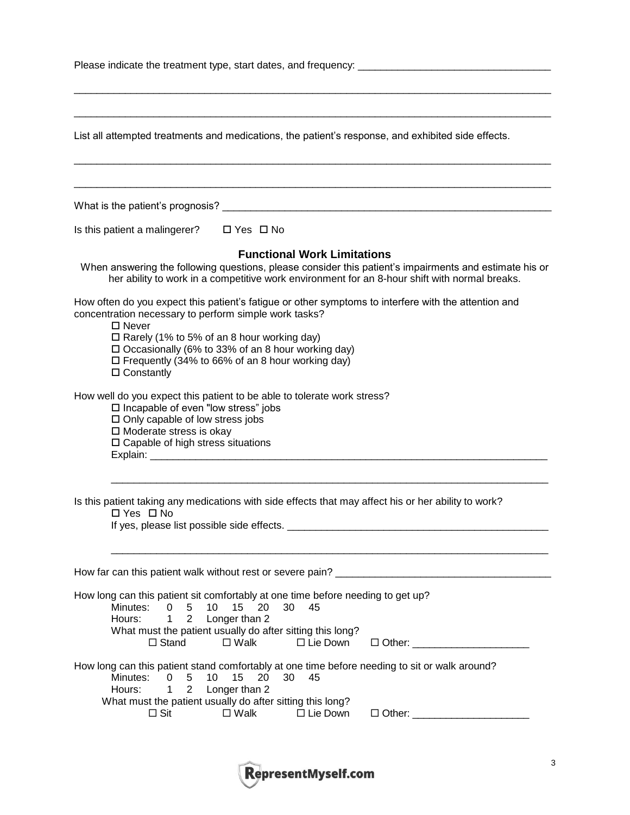| Please indicate the treatment type, start dates, and frequency: |  |
|-----------------------------------------------------------------|--|
|-----------------------------------------------------------------|--|

| List all attempted treatments and medications, the patient's response, and exhibited side effects.                                                                                                                                                                                                                                                                        |
|---------------------------------------------------------------------------------------------------------------------------------------------------------------------------------------------------------------------------------------------------------------------------------------------------------------------------------------------------------------------------|
|                                                                                                                                                                                                                                                                                                                                                                           |
|                                                                                                                                                                                                                                                                                                                                                                           |
| Is this patient a malingerer?<br>$\Box$ Yes $\Box$ No                                                                                                                                                                                                                                                                                                                     |
| <b>Functional Work Limitations</b><br>When answering the following questions, please consider this patient's impairments and estimate his or<br>her ability to work in a competitive work environment for an 8-hour shift with normal breaks.                                                                                                                             |
| How often do you expect this patient's fatigue or other symptoms to interfere with the attention and<br>concentration necessary to perform simple work tasks?<br>$\Box$ Never<br>$\Box$ Rarely (1% to 5% of an 8 hour working day)<br>$\Box$ Occasionally (6% to 33% of an 8 hour working day)<br>□ Frequently (34% to 66% of an 8 hour working day)<br>$\Box$ Constantly |
| How well do you expect this patient to be able to tolerate work stress?<br>□ Incapable of even "low stress" jobs<br>$\square$ Only capable of low stress jobs<br>□ Moderate stress is okay<br>$\square$ Capable of high stress situations                                                                                                                                 |
| Is this patient taking any medications with side effects that may affect his or her ability to work?<br>□ Yes □ No                                                                                                                                                                                                                                                        |
| How far can this patient walk without rest or severe pain?                                                                                                                                                                                                                                                                                                                |
| How long can this patient sit comfortably at one time before needing to get up?<br>15 <sub>1</sub><br>- 20<br>30<br>Minutes:<br>0<br>5<br>10<br>45<br>$\overline{2}$<br>Hours:<br>Longer than 2<br>$\mathbf 1$<br>What must the patient usually do after sitting this long?<br>$\square$ Walk<br>$\Box$ Lie Down<br>$\Box$ Stand<br>$\Box$ Other:                         |
| How long can this patient stand comfortably at one time before needing to sit or walk around?<br>5<br>10<br>15 <sub>15</sub><br>20<br>30<br>45<br>Minutes:<br>0<br>Longer than 2<br>Hours:<br>$\overline{2}$<br>1<br>What must the patient usually do after sitting this long?<br>$\Box$ Sit<br>$\square$ Walk<br>$\Box$ Lie Down<br>$\Box$ Other: $\_\_$                 |

 $\_$  ,  $\_$  ,  $\_$  ,  $\_$  ,  $\_$  ,  $\_$  ,  $\_$  ,  $\_$  ,  $\_$  ,  $\_$  ,  $\_$  ,  $\_$  ,  $\_$  ,  $\_$  ,  $\_$  ,  $\_$  ,  $\_$  ,  $\_$  ,  $\_$  ,  $\_$  ,  $\_$  ,  $\_$  ,  $\_$  ,  $\_$  ,  $\_$  ,  $\_$  ,  $\_$  ,  $\_$  ,  $\_$  ,  $\_$  ,  $\_$  ,  $\_$  ,  $\_$  ,  $\_$  ,  $\_$  ,  $\_$  ,  $\_$  ,

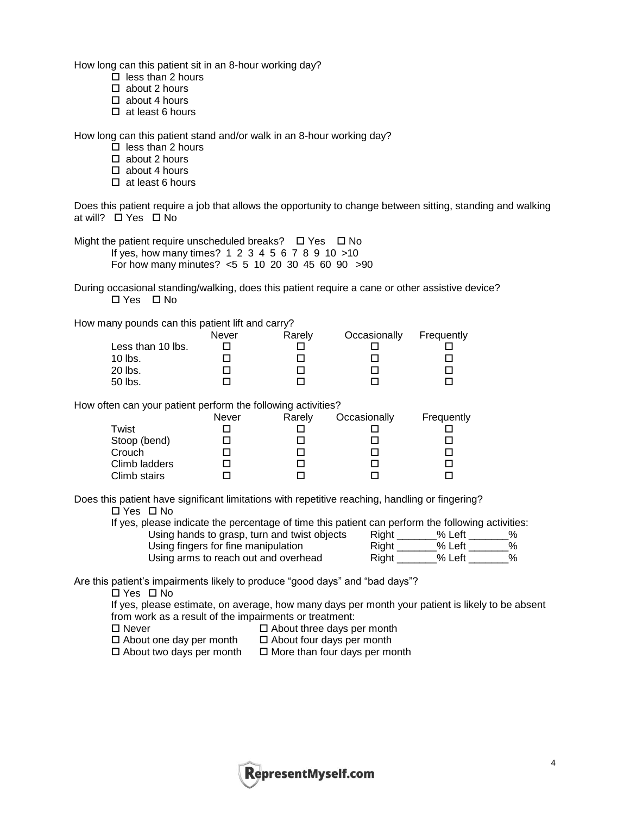How long can this patient sit in an 8-hour working day?

- $\Box$  less than 2 hours
- $\square$  about 2 hours
- $\Box$  about 4 hours
- $\Box$  at least 6 hours

How long can this patient stand and/or walk in an 8-hour working day?

- $\Box$  less than 2 hours
- □ about 2 hours
- $\Box$  about 4 hours
- $\Box$  at least 6 hours

Does this patient require a job that allows the opportunity to change between sitting, standing and walking at will?  $\Box$  Yes  $\Box$  No

Might the patient require unscheduled breaks?  $\Box$  Yes  $\Box$  No If yes, how many times? 1 2 3 4 5 6 7 8 9 10 >10

For how many minutes? <5 5 10 20 30 45 60 90 >90

During occasional standing/walking, does this patient require a cane or other assistive device?  $\Box$  Yes  $\Box$  No

How many pounds can this patient lift and carry?

|                   | Never | Rarely | Occasionally | Frequently |
|-------------------|-------|--------|--------------|------------|
| Less than 10 lbs. |       |        |              |            |
| $10$ lbs.         |       |        |              |            |
| 20 lbs.           |       |        |              |            |
| 50 lbs.           |       |        |              |            |

How often can your patient perform the following activities?

|               | Never | Rarely | Occasionally | Frequently |
|---------------|-------|--------|--------------|------------|
| Twist         |       |        |              |            |
| Stoop (bend)  |       |        |              |            |
| Crouch        |       |        |              |            |
| Climb ladders |       |        |              |            |
| Climb stairs  |       |        |              |            |

Does this patient have significant limitations with repetitive reaching, handling or fingering? □ Yes □ No

If yes, please indicate the percentage of time this patient can perform the following activities:

Using hands to grasp, turn and twist objects Using fingers for fine manipulation Using arms to reach out and overhead Right \_\_\_\_\_\_% Left

| Right | % Left   | ℅    |
|-------|----------|------|
| Right | % Left   | ℅    |
| Riaht | $%$ Left | $\%$ |

Are this patient's impairments likely to produce "good days" and "bad days"?

□ Yes □ No

If yes, please estimate, on average, how many days per month your patient is likely to be absent from work as a result of the impairments or treatment:

 $\Box$  Never  $\Box$  About three days per month

 $\Box$  About one day per month  $\Box$  About four days per month

 $\Box$  About two days per month  $\Box$  More than four days per month